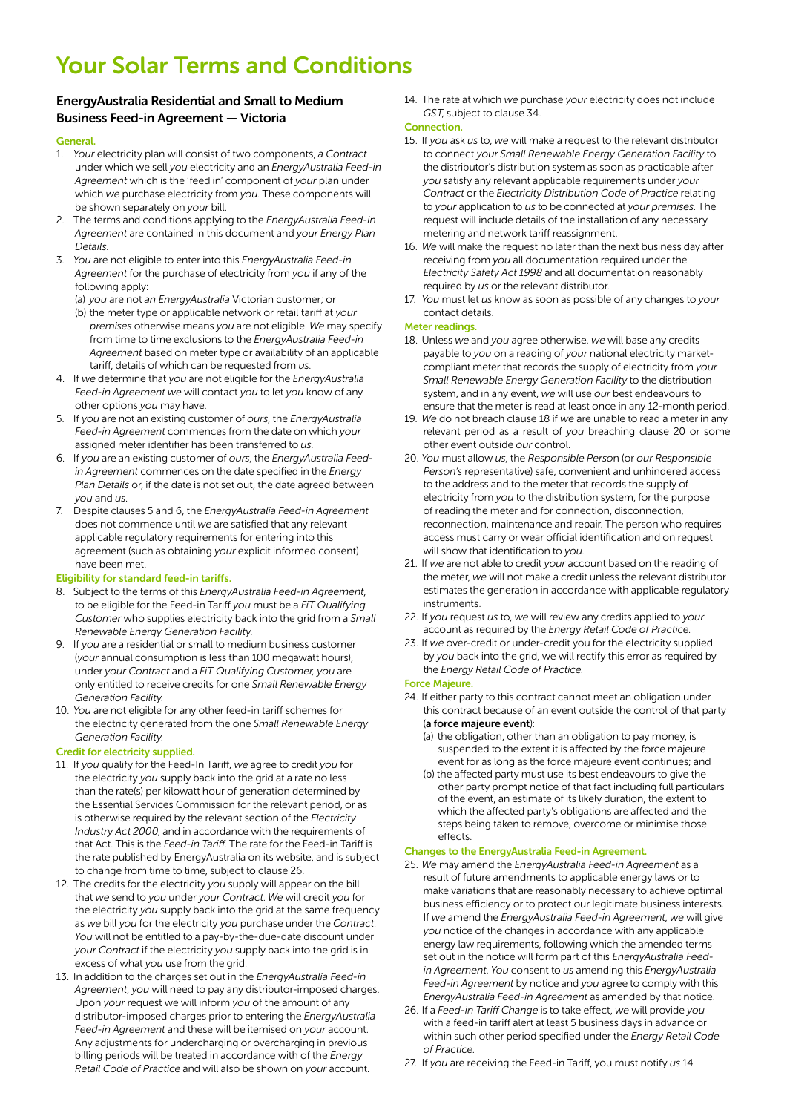# Your Solar Terms and Conditions

# EnergyAustralia Residential and Small to Medium Business Feed-in Agreement — Victoria

#### **General**

- 1. *Your* electricity plan will consist of two components, *a Contract* under which we sell *you* electricity and an *EnergyAustralia Feed-in Agreement* which is the 'feed in' component of *your* plan under which *we* purchase electricity from *you*. These components will be shown separately on *your* bill.
- 2. The terms and conditions applying to the *EnergyAustralia Feed-in Agreement* are contained in this document and *your Energy Plan Details*.
- 3. *You* are not eligible to enter into this *EnergyAustralia Feed-in Agreement* for the purchase of electricity from *you* if any of the following apply:
	- (a) *you* are not *an EnergyAustralia* Victorian customer; or
	- (b) the meter type or applicable network or retail tariff at *your premises* otherwise means *you* are not eligible. *We* may specify from time to time exclusions to the *EnergyAustralia Feed-in Agreement* based on meter type or availability of an applicable tariff, details of which can be requested from *us*.
- 4. If *we* determine that *you* are not eligible for the *EnergyAustralia Feed-in Agreement we* will contact *you* to let *you* know of any other options *you* may have.
- 5. If *you* are not an existing customer of *ours*, the *EnergyAustralia Feed-in Agreement* commences from the date on which *your* assigned meter identifier has been transferred to *us*.
- 6. If *you* are an existing customer of *ours*, the *EnergyAustralia Feedin Agreement* commences on the date specified in the *Energy Plan Details* or, if the date is not set out, the date agreed between *you* and *us*.
- 7. Despite clauses 5 and 6, the *EnergyAustralia Feed-in Agreement* does not commence until *we* are satisfied that any relevant applicable regulatory requirements for entering into this agreement (such as obtaining *your* explicit informed consent) have been met.

#### Eligibility for standard feed-in tariffs.

- 8. Subject to the terms of this *EnergyAustralia Feed-in Agreement*, to be eligible for the Feed-in Tariff *you* must be a *FiT Qualifying Customer* who supplies electricity back into the grid from a *Small Renewable Energy Generation Facility*.
- 9. If *you* are a residential or small to medium business customer (*your* annual consumption is less than 100 megawatt hours), under *your Contract* and a *FiT Qualifying Customer, you* are only entitled to receive credits for one *Small Renewable Energy Generation Facility*.
- 10. *You* are not eligible for any other feed-in tariff schemes for the electricity generated from the one *Small Renewable Energy Generation Facility*.

### Credit for electricity supplied.

- 11. If *you* qualify for the Feed-In Tariff, *we* agree to credit *you* for the electricity *you* supply back into the grid at a rate no less than the rate(s) per kilowatt hour of generation determined by the Essential Services Commission for the relevant period, or as is otherwise required by the relevant section of the *Electricity Industry Act 2000*, and in accordance with the requirements of that Act. This is the *Feed-in Tariff*. The rate for the Feed-in Tariff is the rate published by EnergyAustralia on its website, and is subject to change from time to time, subject to clause 26.
- 12. The credits for the electricity *you* supply will appear on the bill that *we* send to *you* under *your Contract*. *We* will credit *you* for the electricity *you* supply back into the grid at the same frequency as *we* bill *you* for the electricity *you* purchase under the *Contract*. *You* will not be entitled to a pay-by-the-due-date discount under *your Contract* if the electricity *you* supply back into the grid is in excess of what *you* use from the grid.
- 13. In addition to the charges set out in the *EnergyAustralia Feed-in Agreement*, *you* will need to pay any distributor-imposed charges. Upon *your* request we will inform *you* of the amount of any distributor-imposed charges prior to entering the *EnergyAustralia Feed-in Agreement* and these will be itemised on *your* account. Any adjustments for undercharging or overcharging in previous billing periods will be treated in accordance with of the *Energy Retail Code of Practice* and will also be shown on *your* account.

14. The rate at which *we* purchase *your* electricity does not include *GST*, subject to clause 34.

## **Connection**

- 15. If *you* ask *us* to, *we* will make a request to the relevant distributor to connect *your Small Renewable Energy Generation Facility* to the distributor's distribution system as soon as practicable after *you* satisfy any relevant applicable requirements under *your Contract* or the *Electricity Distribution Code of Practice* relating to *your* application to *us* to be connected at *your premises*. The request will include details of the installation of any necessary metering and network tariff reassignment.
- 16. *We* will make the request no later than the next business day after receiving from *you* all documentation required under the *Electricity Safety Act 1998* and all documentation reasonably required by *us* or the relevant distributor.
- 17. *You* must let *us* know as soon as possible of any changes to *your*  contact details.

### Meter readings.

- 18. Unless *we* and *you* agree otherwise, *we* will base any credits payable to *you* on a reading of *your* national electricity marketcompliant meter that records the supply of electricity from *your Small Renewable Energy Generation Facility* to the distribution system, and in any event, *we* will use *our* best endeavours to ensure that the meter is read at least once in any 12-month period.
- 19. *We* do not breach clause 18 if *we* are unable to read a meter in any relevant period as a result of *you* breaching clause 20 or some other event outside *our* control.
- 20. *You* must allow *us*, the *Responsible Perso*n (or *our Responsible Person's* representative) safe, convenient and unhindered access to the address and to the meter that records the supply of electricity from *you* to the distribution system, for the purpose of reading the meter and for connection, disconnection, reconnection, maintenance and repair. The person who requires access must carry or wear official identification and on request will show that identification to *you*.
- 21. If *we* are not able to credit *your* account based on the reading of the meter, *we* will not make a credit unless the relevant distributor estimates the generation in accordance with applicable regulatory instruments.
- 22. If *you* request *us* to, *we* will review any credits applied to *your*  account as required by the *Energy Retail Code of Practice*.
- 23. If *we* over-credit or under-credit you for the electricity supplied by *you* back into the grid, we will rectify this error as required by the *Energy Retail Code of Practice*.

#### Force Majeure.

- 24. If either party to this contract cannot meet an obligation under this contract because of an event outside the control of that party (a force majeure event):
	- (a) the obligation, other than an obligation to pay money, is suspended to the extent it is affected by the force majeure event for as long as the force majeure event continues; and
	- (b) the affected party must use its best endeavours to give the other party prompt notice of that fact including full particulars of the event, an estimate of its likely duration, the extent to which the affected party's obligations are affected and the steps being taken to remove, overcome or minimise those effects.

#### Changes to the EnergyAustralia Feed-in Agreement.

- 25. *We* may amend the *EnergyAustralia Feed-in Agreement* as a result of future amendments to applicable energy laws or to make variations that are reasonably necessary to achieve optimal business efficiency or to protect our legitimate business interests. If *we* amend the *EnergyAustralia Feed-in Agreement*, *we* will give *you* notice of the changes in accordance with any applicable energy law requirements, following which the amended terms set out in the notice will form part of this *EnergyAustralia Feedin Agreement*. *You* consent to *us* amending this *EnergyAustralia Feed-in Agreement* by notice and *you* agree to comply with this *EnergyAustralia Feed-in Agreement* as amended by that notice.
- 26. If a *Feed-in Tariff Change* is to take effect, *we* will provide *you* with a feed-in tariff alert at least 5 business days in advance or within such other period specified under the *Energy Retail Code of Practice*.
- 27. If *you* are receiving the Feed-in Tariff, you must notify *us* 14